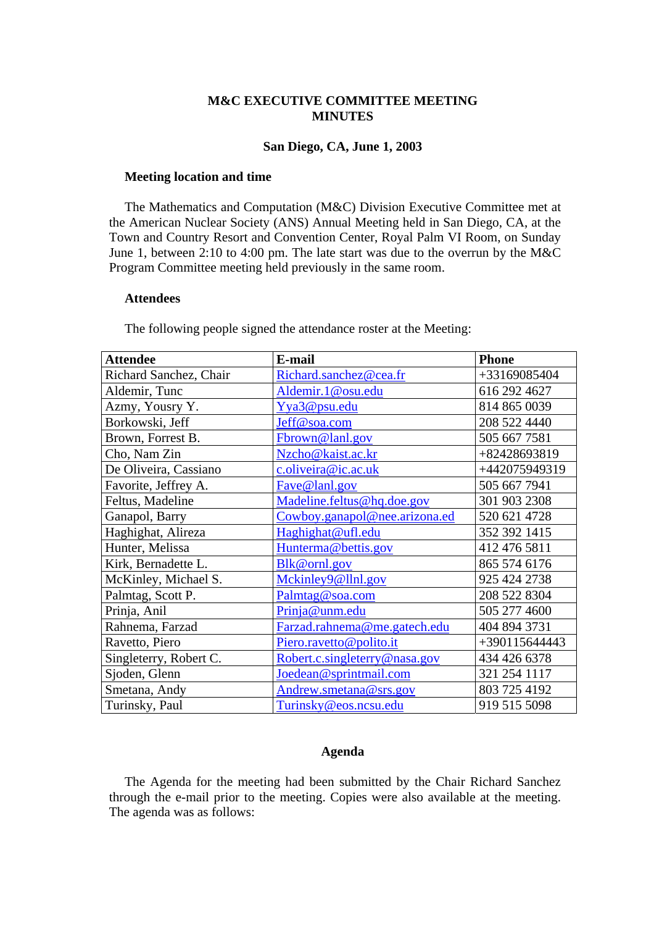#### **M&C EXECUTIVE COMMITTEE MEETING MINUTES**

#### **San Diego, CA, June 1, 2003**

#### **Meeting location and time**

The Mathematics and Computation (M&C) Division Executive Committee met at the American Nuclear Society (ANS) Annual Meeting held in San Diego, CA, at the Town and Country Resort and Convention Center, Royal Palm VI Room, on Sunday June 1, between 2:10 to 4:00 pm. The late start was due to the overrun by the M&C Program Committee meeting held previously in the same room.

#### **Attendees**

The following people signed the attendance roster at the Meeting:

| <b>Attendee</b>        | E-mail                        | <b>Phone</b>  |
|------------------------|-------------------------------|---------------|
| Richard Sanchez, Chair | Richard.sanchez@cea.fr        | +33169085404  |
| Aldemir, Tunc          | Aldemir.1@osu.edu             | 616 292 4627  |
| Azmy, Yousry Y.        | Yya3@psu.edu                  | 814 865 0039  |
| Borkowski, Jeff        | Jeff@soa.com                  | 208 522 4440  |
| Brown, Forrest B.      | Fbrown@lanl.gov               | 505 667 7581  |
| Cho, Nam Zin           | Nzcho@kaist.ac.kr             | +82428693819  |
| De Oliveira, Cassiano  | c.oliveira@ic.ac.uk           | +442075949319 |
| Favorite, Jeffrey A.   | Fave@lanl.gov                 | 505 667 7941  |
| Feltus, Madeline       | Madeline.feltus@hq.doe.gov    | 301 903 2308  |
| Ganapol, Barry         | Cowboy.ganapol@nee.arizona.ed | 520 621 4728  |
| Haghighat, Alireza     | Haghighat@ufl.edu             | 352 392 1415  |
| Hunter, Melissa        | Hunterma@bettis.gov           | 412 476 5811  |
| Kirk, Bernadette L.    | Blk@ornl.gov                  | 865 574 6176  |
| McKinley, Michael S.   | Mckinley9@llnl.gov            | 925 424 2738  |
| Palmtag, Scott P.      | Palmtag@soa.com               | 208 522 8304  |
| Prinja, Anil           | Prinja@unm.edu                | 505 277 4600  |
| Rahnema, Farzad        | Farzad.rahnema@me.gatech.edu  | 404 894 3731  |
| Ravetto, Piero         | Piero.ravetto@polito.it       | +390115644443 |
| Singleterry, Robert C. | Robert.c.singleterry@nasa.gov | 434 426 6378  |
| Sjoden, Glenn          | Joedean@sprintmail.com        | 321 254 1117  |
| Smetana, Andy          | Andrew.smetana@srs.gov        | 803 725 4192  |
| Turinsky, Paul         | Turinsky@eos.ncsu.edu         | 919 515 5098  |

#### **Agenda**

The Agenda for the meeting had been submitted by the Chair Richard Sanchez through the e-mail prior to the meeting. Copies were also available at the meeting. The agenda was as follows: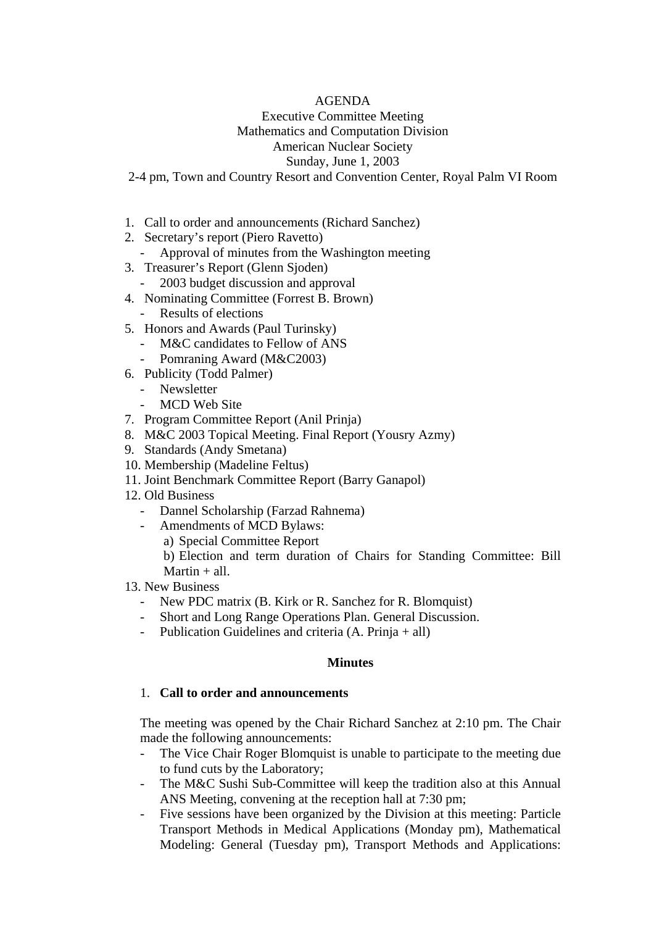### AGENDA

## Executive Committee Meeting Mathematics and Computation Division American Nuclear Society Sunday, June 1, 2003

- 2-4 pm, Town and Country Resort and Convention Center, Royal Palm VI Room
- 1. Call to order and announcements (Richard Sanchez)
- 2. Secretary's report (Piero Ravetto)
	- Approval of minutes from the Washington meeting
- 3. Treasurer's Report (Glenn Sjoden)
- 2003 budget discussion and approval
- 4. Nominating Committee (Forrest B. Brown)
	- Results of elections
- 5. Honors and Awards (Paul Turinsky)
	- M&C candidates to Fellow of ANS
	- Pomraning Award (M&C2003)
- 6. Publicity (Todd Palmer)
	- Newsletter
	- MCD Web Site
- 7. Program Committee Report (Anil Prinja)
- 8. M&C 2003 Topical Meeting. Final Report (Yousry Azmy)
- 9. Standards (Andy Smetana)
- 10. Membership (Madeline Feltus)
- 11. Joint Benchmark Committee Report (Barry Ganapol)
- 12. Old Business
	- Dannel Scholarship (Farzad Rahnema)
	- Amendments of MCD Bylaws:
		- a) Special Committee Report

b) Election and term duration of Chairs for Standing Committee: Bill Martin  $+$  all.

13. New Business

- New PDC matrix (B. Kirk or R. Sanchez for R. Blomquist)
- Short and Long Range Operations Plan. General Discussion.
- Publication Guidelines and criteria  $(A, Prinja + all)$

### **Minutes**

### 1. **Call to order and announcements**

The meeting was opened by the Chair Richard Sanchez at 2:10 pm. The Chair made the following announcements:

- The Vice Chair Roger Blomquist is unable to participate to the meeting due to fund cuts by the Laboratory;
- The M&C Sushi Sub-Committee will keep the tradition also at this Annual ANS Meeting, convening at the reception hall at 7:30 pm;
- Five sessions have been organized by the Division at this meeting: Particle Transport Methods in Medical Applications (Monday pm), Mathematical Modeling: General (Tuesday pm), Transport Methods and Applications: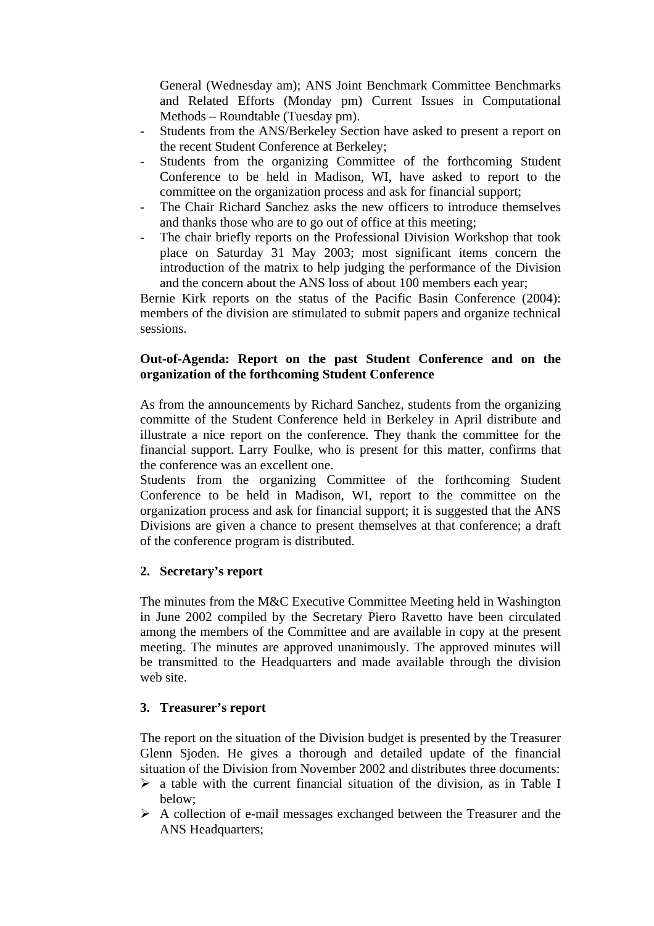General (Wednesday am); ANS Joint Benchmark Committee Benchmarks and Related Efforts (Monday pm) Current Issues in Computational Methods – Roundtable (Tuesday pm).

- Students from the ANS/Berkeley Section have asked to present a report on the recent Student Conference at Berkeley;
- Students from the organizing Committee of the forthcoming Student Conference to be held in Madison, WI, have asked to report to the committee on the organization process and ask for financial support;
- The Chair Richard Sanchez asks the new officers to introduce themselves and thanks those who are to go out of office at this meeting;
- The chair briefly reports on the Professional Division Workshop that took place on Saturday 31 May 2003; most significant items concern the introduction of the matrix to help judging the performance of the Division and the concern about the ANS loss of about 100 members each year;

Bernie Kirk reports on the status of the Pacific Basin Conference (2004): members of the division are stimulated to submit papers and organize technical sessions.

### **Out-of-Agenda: Report on the past Student Conference and on the organization of the forthcoming Student Conference**

As from the announcements by Richard Sanchez, students from the organizing committe of the Student Conference held in Berkeley in April distribute and illustrate a nice report on the conference. They thank the committee for the financial support. Larry Foulke, who is present for this matter, confirms that the conference was an excellent one.

Students from the organizing Committee of the forthcoming Student Conference to be held in Madison, WI, report to the committee on the organization process and ask for financial support; it is suggested that the ANS Divisions are given a chance to present themselves at that conference; a draft of the conference program is distributed.

# **2. Secretary's report**

The minutes from the M&C Executive Committee Meeting held in Washington in June 2002 compiled by the Secretary Piero Ravetto have been circulated among the members of the Committee and are available in copy at the present meeting. The minutes are approved unanimously. The approved minutes will be transmitted to the Headquarters and made available through the division web site.

# **3. Treasurer's report**

The report on the situation of the Division budget is presented by the Treasurer Glenn Sjoden. He gives a thorough and detailed update of the financial situation of the Division from November 2002 and distributes three documents:

- $\triangleright$  a table with the current financial situation of the division, as in Table I below;
- $\triangleright$  A collection of e-mail messages exchanged between the Treasurer and the ANS Headquarters;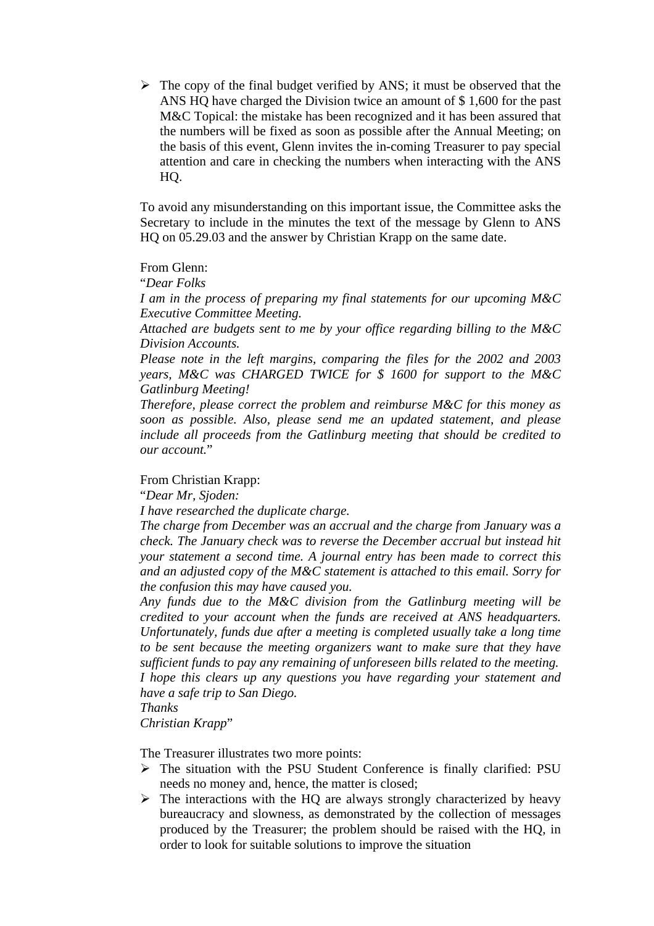$\triangleright$  The copy of the final budget verified by ANS; it must be observed that the ANS HQ have charged the Division twice an amount of \$ 1,600 for the past M&C Topical: the mistake has been recognized and it has been assured that the numbers will be fixed as soon as possible after the Annual Meeting; on the basis of this event, Glenn invites the in-coming Treasurer to pay special attention and care in checking the numbers when interacting with the ANS HQ.

To avoid any misunderstanding on this important issue, the Committee asks the Secretary to include in the minutes the text of the message by Glenn to ANS HQ on 05.29.03 and the answer by Christian Krapp on the same date.

From Glenn:

"*Dear Folks* 

*I am in the process of preparing my final statements for our upcoming M&C Executive Committee Meeting.* 

*Attached are budgets sent to me by your office regarding billing to the M&C Division Accounts.* 

*Please note in the left margins, comparing the files for the 2002 and 2003 years, M&C was CHARGED TWICE for \$ 1600 for support to the M&C Gatlinburg Meeting!* 

*Therefore, please correct the problem and reimburse M&C for this money as soon as possible. Also, please send me an updated statement, and please include all proceeds from the Gatlinburg meeting that should be credited to our account.*"

### From Christian Krapp:

"*Dear Mr, Sjoden:* 

*I have researched the duplicate charge.* 

*The charge from December was an accrual and the charge from January was a check. The January check was to reverse the December accrual but instead hit your statement a second time. A journal entry has been made to correct this and an adjusted copy of the M&C statement is attached to this email. Sorry for the confusion this may have caused you.* 

*Any funds due to the M&C division from the Gatlinburg meeting will be credited to your account when the funds are received at ANS headquarters. Unfortunately, funds due after a meeting is completed usually take a long time to be sent because the meeting organizers want to make sure that they have sufficient funds to pay any remaining of unforeseen bills related to the meeting. I hope this clears up any questions you have regarding your statement and have a safe trip to San Diego.* 

*Thanks* 

*Christian Krapp*"

The Treasurer illustrates two more points:

- $\triangleright$  The situation with the PSU Student Conference is finally clarified: PSU needs no money and, hence, the matter is closed;
- $\triangleright$  The interactions with the HQ are always strongly characterized by heavy bureaucracy and slowness, as demonstrated by the collection of messages produced by the Treasurer; the problem should be raised with the HQ, in order to look for suitable solutions to improve the situation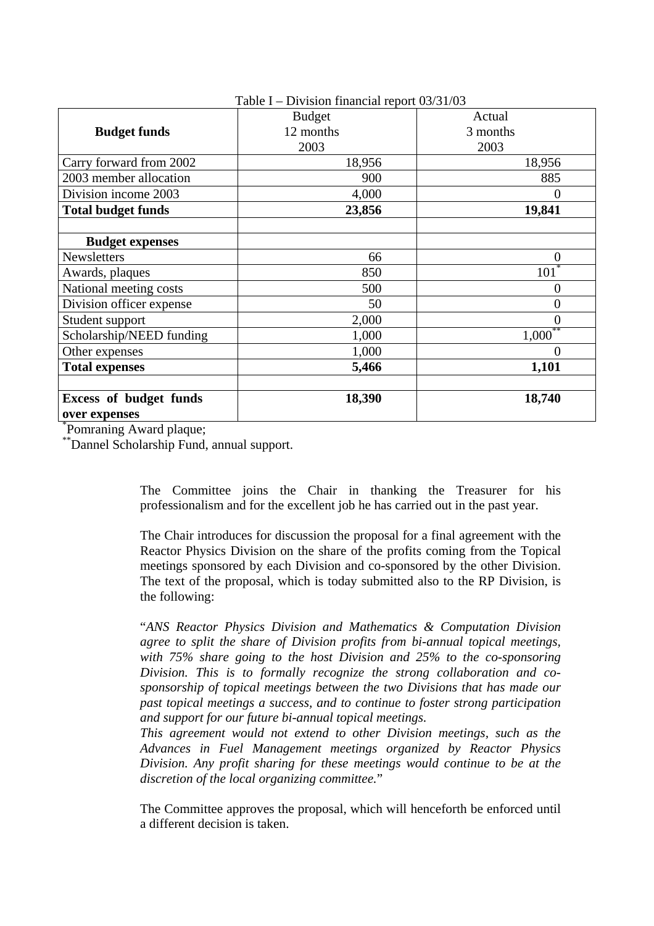| $1$ able $1 -$ Division imancial report $03/31/03$ |               |                  |
|----------------------------------------------------|---------------|------------------|
|                                                    | <b>Budget</b> | Actual           |
| <b>Budget funds</b>                                | 12 months     | 3 months         |
|                                                    | 2003          | 2003             |
| Carry forward from 2002                            | 18,956        | 18,956           |
| 2003 member allocation                             | 900           | 885              |
| Division income 2003                               | 4,000         | $\theta$         |
| <b>Total budget funds</b>                          | 23,856        | 19,841           |
|                                                    |               |                  |
| <b>Budget expenses</b>                             |               |                  |
| <b>Newsletters</b>                                 | 66            | $\boldsymbol{0}$ |
| Awards, plaques                                    | 850           | 101              |
| National meeting costs                             | 500           | $\overline{0}$   |
| Division officer expense                           | 50            | $\overline{0}$   |
| Student support                                    | 2,000         | $\theta$         |
| Scholarship/NEED funding                           | 1,000         | $1,000***$       |
| Other expenses                                     | 1,000         | $\overline{0}$   |
| <b>Total expenses</b>                              | 5,466         | 1,101            |
|                                                    |               |                  |
| <b>Excess of budget funds</b>                      | 18,390        | 18,740           |
| over expenses                                      |               |                  |

 $T = 11 T - D'$   $T' = 0$   $T = 11$ 

\* Pomraning Award plaque;

\*\*Dannel Scholarship Fund, annual support.

The Committee joins the Chair in thanking the Treasurer for his professionalism and for the excellent job he has carried out in the past year.

The Chair introduces for discussion the proposal for a final agreement with the Reactor Physics Division on the share of the profits coming from the Topical meetings sponsored by each Division and co-sponsored by the other Division. The text of the proposal, which is today submitted also to the RP Division, is the following:

"*ANS Reactor Physics Division and Mathematics & Computation Division agree to split the share of Division profits from bi-annual topical meetings, with 75% share going to the host Division and 25% to the co-sponsoring Division. This is to formally recognize the strong collaboration and cosponsorship of topical meetings between the two Divisions that has made our past topical meetings a success, and to continue to foster strong participation and support for our future bi-annual topical meetings.* 

*This agreement would not extend to other Division meetings, such as the Advances in Fuel Management meetings organized by Reactor Physics Division. Any profit sharing for these meetings would continue to be at the discretion of the local organizing committee.*"

The Committee approves the proposal, which will henceforth be enforced until a different decision is taken.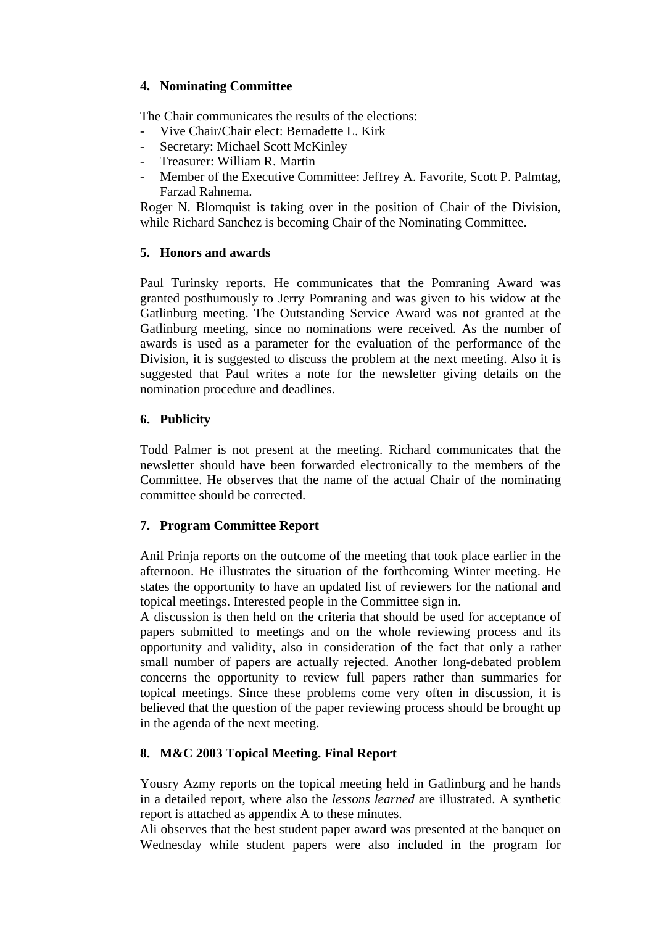# **4. Nominating Committee**

The Chair communicates the results of the elections:

- Vive Chair/Chair elect: Bernadette L. Kirk
- Secretary: Michael Scott McKinley
- Treasurer: William R. Martin
- Member of the Executive Committee: Jeffrey A. Favorite, Scott P. Palmtag, Farzad Rahnema.

Roger N. Blomquist is taking over in the position of Chair of the Division, while Richard Sanchez is becoming Chair of the Nominating Committee.

# **5. Honors and awards**

Paul Turinsky reports. He communicates that the Pomraning Award was granted posthumously to Jerry Pomraning and was given to his widow at the Gatlinburg meeting. The Outstanding Service Award was not granted at the Gatlinburg meeting, since no nominations were received. As the number of awards is used as a parameter for the evaluation of the performance of the Division, it is suggested to discuss the problem at the next meeting. Also it is suggested that Paul writes a note for the newsletter giving details on the nomination procedure and deadlines.

# **6. Publicity**

Todd Palmer is not present at the meeting. Richard communicates that the newsletter should have been forwarded electronically to the members of the Committee. He observes that the name of the actual Chair of the nominating committee should be corrected.

# **7. Program Committee Report**

Anil Prinja reports on the outcome of the meeting that took place earlier in the afternoon. He illustrates the situation of the forthcoming Winter meeting. He states the opportunity to have an updated list of reviewers for the national and topical meetings. Interested people in the Committee sign in.

A discussion is then held on the criteria that should be used for acceptance of papers submitted to meetings and on the whole reviewing process and its opportunity and validity, also in consideration of the fact that only a rather small number of papers are actually rejected. Another long-debated problem concerns the opportunity to review full papers rather than summaries for topical meetings. Since these problems come very often in discussion, it is believed that the question of the paper reviewing process should be brought up in the agenda of the next meeting.

# **8. M&C 2003 Topical Meeting. Final Report**

Yousry Azmy reports on the topical meeting held in Gatlinburg and he hands in a detailed report, where also the *lessons learned* are illustrated. A synthetic report is attached as appendix A to these minutes.

Ali observes that the best student paper award was presented at the banquet on Wednesday while student papers were also included in the program for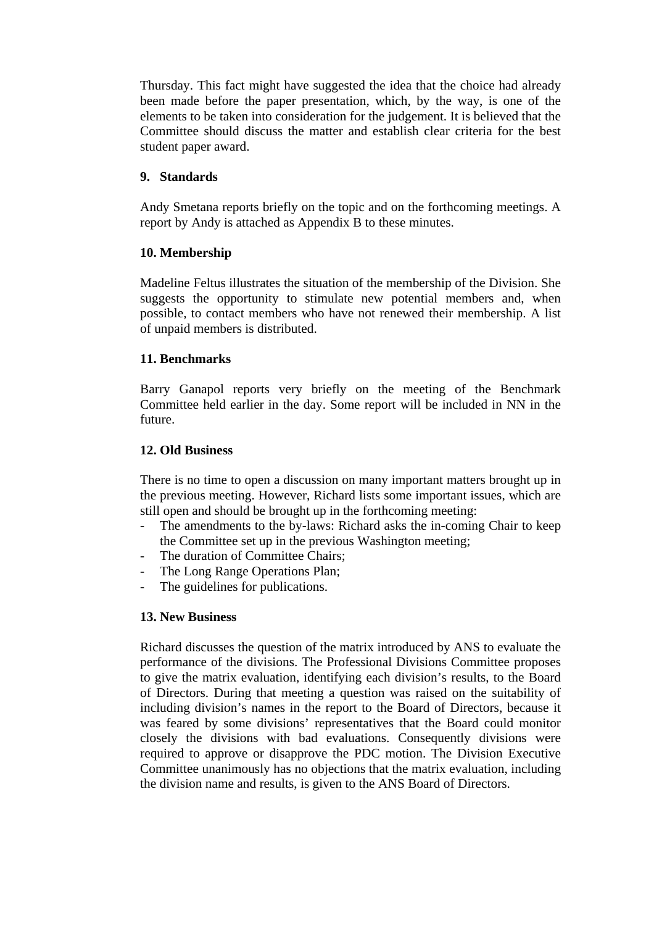Thursday. This fact might have suggested the idea that the choice had already been made before the paper presentation, which, by the way, is one of the elements to be taken into consideration for the judgement. It is believed that the Committee should discuss the matter and establish clear criteria for the best student paper award.

# **9. Standards**

Andy Smetana reports briefly on the topic and on the forthcoming meetings. A report by Andy is attached as Appendix B to these minutes.

### **10. Membership**

Madeline Feltus illustrates the situation of the membership of the Division. She suggests the opportunity to stimulate new potential members and, when possible, to contact members who have not renewed their membership. A list of unpaid members is distributed.

# **11. Benchmarks**

Barry Ganapol reports very briefly on the meeting of the Benchmark Committee held earlier in the day. Some report will be included in NN in the future.

### **12. Old Business**

There is no time to open a discussion on many important matters brought up in the previous meeting. However, Richard lists some important issues, which are still open and should be brought up in the forthcoming meeting:

- The amendments to the by-laws: Richard asks the in-coming Chair to keep the Committee set up in the previous Washington meeting;
- The duration of Committee Chairs;
- The Long Range Operations Plan;
- The guidelines for publications.

# **13. New Business**

Richard discusses the question of the matrix introduced by ANS to evaluate the performance of the divisions. The Professional Divisions Committee proposes to give the matrix evaluation, identifying each division's results, to the Board of Directors. During that meeting a question was raised on the suitability of including division's names in the report to the Board of Directors, because it was feared by some divisions' representatives that the Board could monitor closely the divisions with bad evaluations. Consequently divisions were required to approve or disapprove the PDC motion. The Division Executive Committee unanimously has no objections that the matrix evaluation, including the division name and results, is given to the ANS Board of Directors.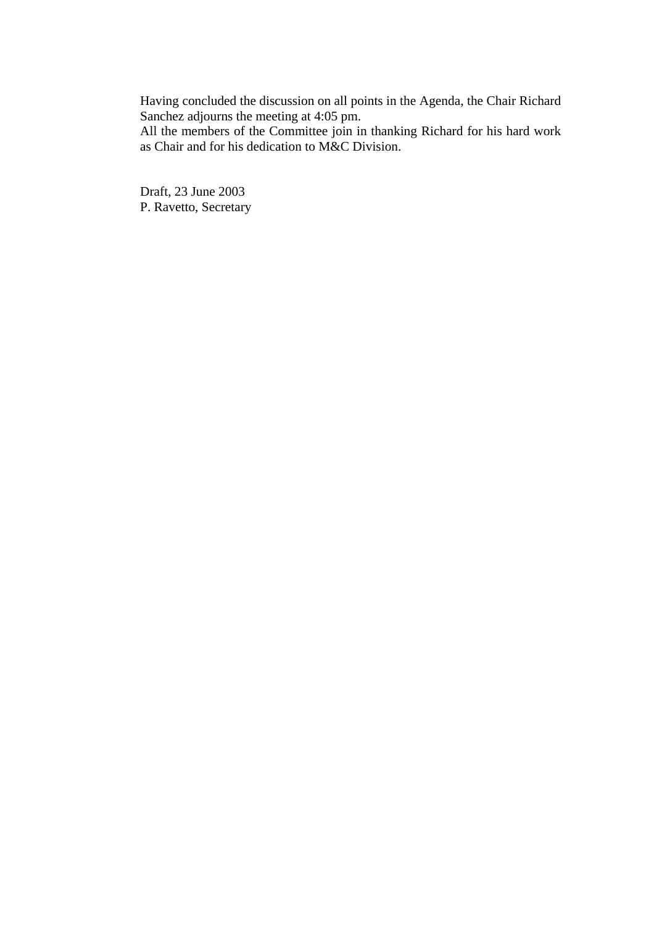Having concluded the discussion on all points in the Agenda, the Chair Richard Sanchez adjourns the meeting at 4:05 pm.

All the members of the Committee join in thanking Richard for his hard work as Chair and for his dedication to M&C Division.

Draft, 23 June 2003 P. Ravetto, Secretary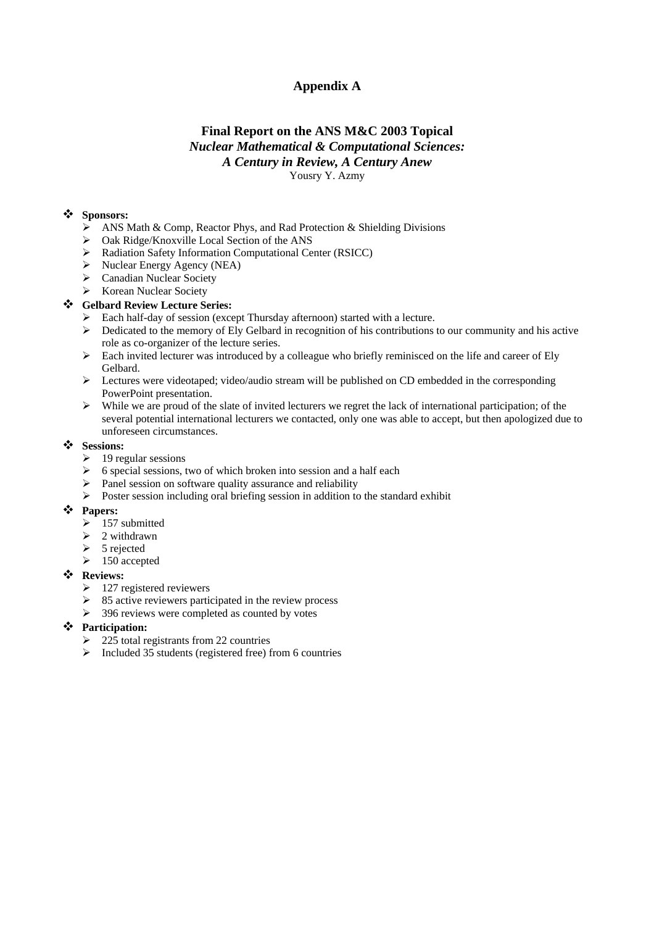# **Appendix A**

#### **Final Report on the ANS M&C 2003 Topical**  *Nuclear Mathematical & Computational Sciences: A Century in Review, A Century Anew* Yousry Y. Azmy

#### **Sponsors:**

- $\triangleright$  ANS Math & Comp, Reactor Phys, and Rad Protection & Shielding Divisions
- ¾ Oak Ridge/Knoxville Local Section of the ANS
- ¾ Radiation Safety Information Computational Center (RSICC)
- $\triangleright$  Nuclear Energy Agency (NEA)
- ¾ Canadian Nuclear Society
- ¾ Korean Nuclear Society

#### **Gelbard Review Lecture Series:**

- ¾ Each half-day of session (except Thursday afternoon) started with a lecture.
- $\triangleright$  Dedicated to the memory of Ely Gelbard in recognition of his contributions to our community and his active role as co-organizer of the lecture series.
- $\triangleright$  Each invited lecturer was introduced by a colleague who briefly reminisced on the life and career of Ely Gelbard.
- $\geq$  Lectures were videotaped; video/audio stream will be published on CD embedded in the corresponding PowerPoint presentation.
- $\triangleright$  While we are proud of the slate of invited lecturers we regret the lack of international participation; of the several potential international lecturers we contacted, only one was able to accept, but then apologized due to unforeseen circumstances.

#### $\div$  Sessions:

- $\geq 19$  regular sessions
- $\triangleright$  6 special sessions, two of which broken into session and a half each
- $\triangleright$  Panel session on software quality assurance and reliability
- ¾ Poste r session including oral briefing session in addition to the standard exhibit

#### **Papers:**

- $\blacktriangleright$  157 submitted
- $\geq 2$  withdrawn
- $\triangleright$  5 rejected
- $\geq 150$  accepted

#### **Reviews:**

- $\geq 127$  registered reviewers
- $\geq$  85 active reviewers participated in the review process
- $\geq$  396 reviews were completed as counted by votes

#### **Participation:**

- $\geq$  225 total registrants from 22 countries
- $\triangleright$  Included 35 students (registered free) from 6 countries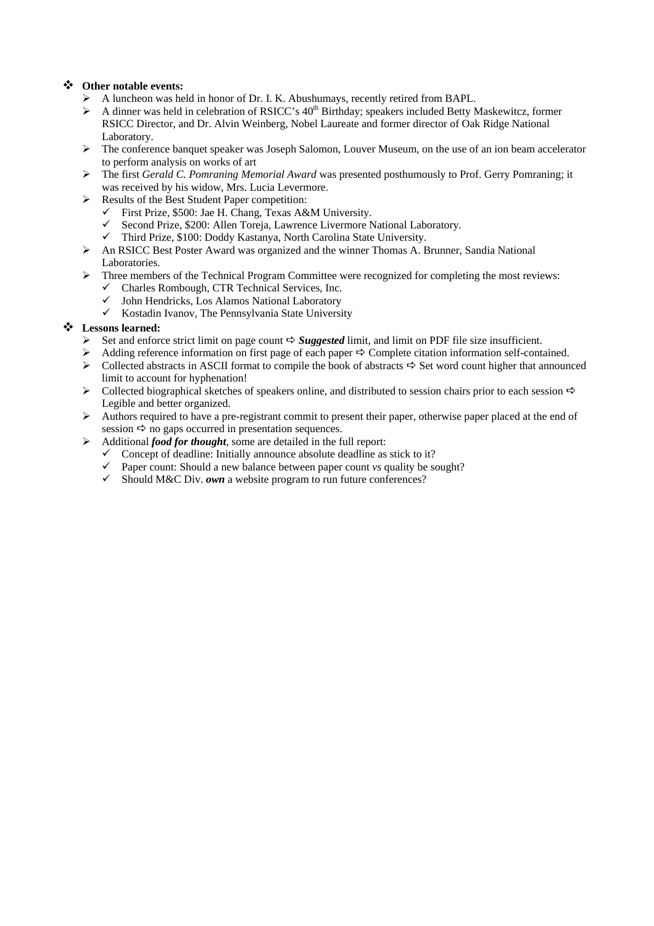#### **Other notable events:**

- ¾ A luncheon was held in honor of Dr. I. K. Abushumays, recently retired from BAPL.
- $\triangleright$  A dinner was held in celebration of RSICC's 40<sup>th</sup> Birthday; speakers included Betty Maskewitcz, former RSICC Director, and Dr. Alvin Weinberg, Nobel Laureate and former director of Oak Ridge National Laboratory.
- $\triangleright$  The conference banquet speaker was Joseph Salomon, Louver Museum, on the use of an ion beam accelerator to perform analysis on works of art
- ¾ The first *Gerald C. Pomraning Memorial Award* was presented posthumously to Prof. Gerry Pomraning; it was received by his widow, Mrs. Lucia Levermore.
- ¾ Results of the Best Student Paper competition:
	- $\checkmark$  First Prize, \$500: Jae H. Chang, Texas A&M University.
	- 9 Second Prize, \$200: Allen Toreja, Lawrence Livermore National Laboratory.
	- $\checkmark$  Third Prize, \$100: Doddy Kastanya, North Carolina State University.
- $\triangleright$  An RSICC Best Poster Award was organized and the winner Thomas A. Brunner, Sandia National Laboratories.
- $\triangleright$  Three members of the Technical Program Committee were recognized for completing the most reviews:
	- $\checkmark$  Charles Rombough, CTR Technical Services, Inc.
	- 9 John Hendricks, Los Alamos National Laboratory
	- $\checkmark$  Kostadin Ivanov, The Pennsylvania State University

#### **Lessons learned:**

- $\triangleright$  Set and enforce strict limit on page count  $\Rightarrow$  *Suggested* limit, and limit on PDF file size insufficient.
- Adding reference information on first page of each paper  $\Rightarrow$  Complete citation information self-contained.<br>  $\triangleright$  Collected abstracts in ASCII format to compile the book of abstracts  $\Rightarrow$  Set word count higher that anno
- Collected abstracts in ASCII format to compile the book of abstracts  $\Rightarrow$  Set word count higher that announced limit to account for hyphenation!
- $\triangleright$  Collected biographical sketches of speakers online, and distributed to session chairs prior to each session  $\Rightarrow$ Legible and better organized.
- $\triangleright$  Authors required to have a pre-registrant commit to present their paper, otherwise paper placed at the end of session  $\Rightarrow$  no gaps occurred in presentation sequences.
- ¾ Additional *food for thought*, some are detailed in the full report:
	- Concept of deadline: Initially announce absolute deadline as stick to it?
	- 9 Paper count: Should a new balance between paper count *vs* quality be sought?<br>
	9 Should M&C Div. *own* a website program to run future conferences?
	- Should M&C Div. *own* a website program to run future conferences?